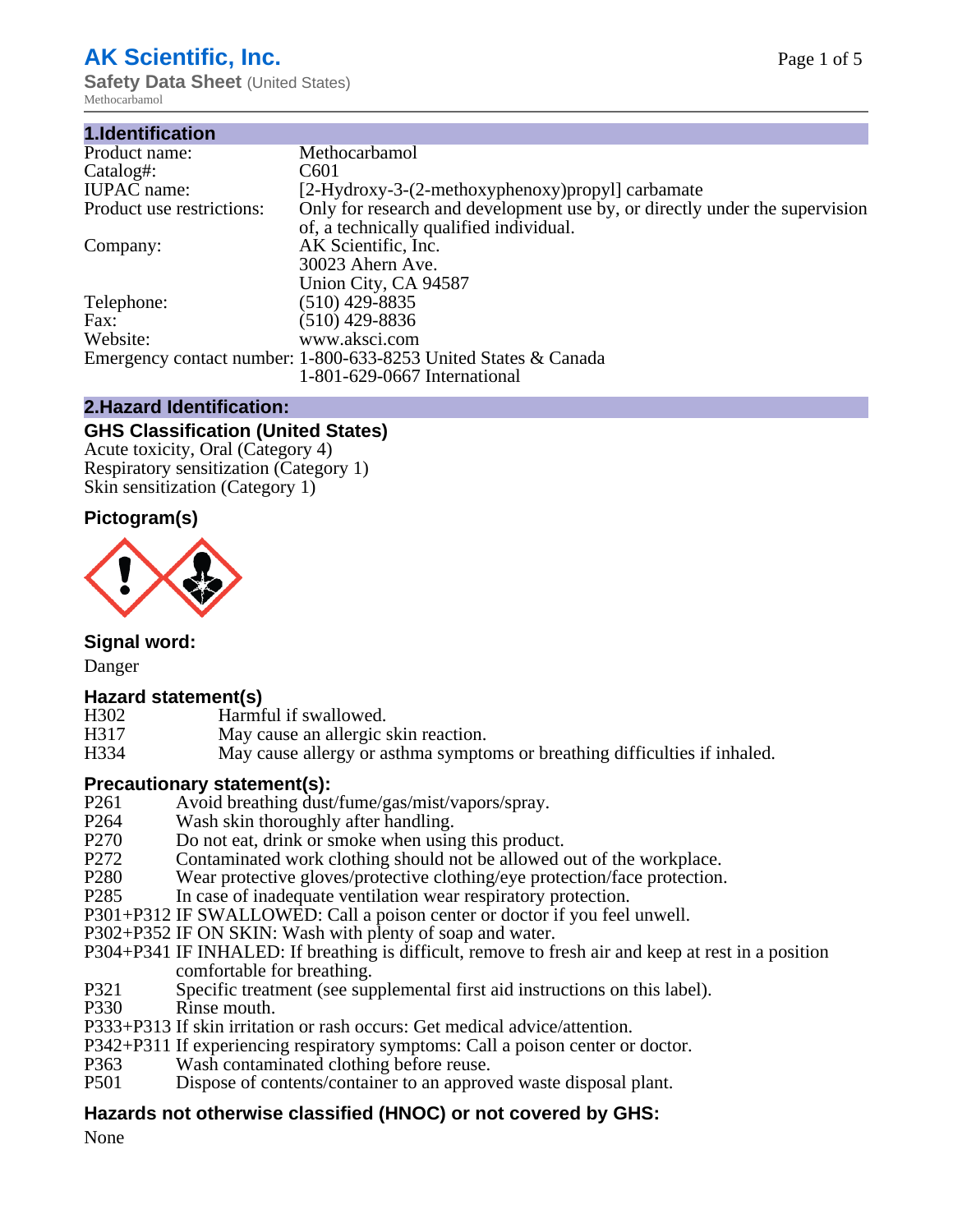## **AK Scientific, Inc.**

**Safety Data Sheet** (United States) Methocarbamol

| 1.Identification          |                                                                             |
|---------------------------|-----------------------------------------------------------------------------|
| Product name:             | Methocarbamol                                                               |
| Catalog#:                 | C <sub>601</sub>                                                            |
| <b>IUPAC</b> name:        | [2-Hydroxy-3-(2-methoxyphenoxy) propyl] carbamate                           |
| Product use restrictions: | Only for research and development use by, or directly under the supervision |
|                           | of, a technically qualified individual.                                     |
| Company:                  | AK Scientific, Inc.                                                         |
|                           | 30023 Ahern Ave.                                                            |
|                           | Union City, CA 94587                                                        |
| Telephone:                | $(510)$ 429-8835                                                            |
| Fax:                      | $(510)$ 429-8836                                                            |
| Website:                  | www.aksci.com                                                               |
|                           | Emergency contact number: 1-800-633-8253 United States & Canada             |
|                           | 1-801-629-0667 International                                                |
|                           |                                                                             |

#### **2.Hazard Identification:**

#### **GHS Classification (United States)**

Acute toxicity, Oral (Category 4) Respiratory sensitization (Category 1) Skin sensitization (Category 1)

### **Pictogram(s)**



**Signal word:**

Danger

#### **Hazard statement(s)**

- H302 Harmful if swallowed.<br>H317 May cause an allergic:
- H317 May cause an allergic skin reaction.<br>H334 May cause allergy or asthma symptom
- May cause allergy or asthma symptoms or breathing difficulties if inhaled.

#### **Precautionary statement(s):**

- P261 Avoid breathing dust/fume/gas/mist/vapors/spray.<br>P264 Wash skin thoroughly after handling.
- P264 Wash skin thoroughly after handling.<br>P270 Do not eat, drink or smoke when usin
- Do not eat, drink or smoke when using this product.
- P272 Contaminated work clothing should not be allowed out of the workplace.<br>P280 Wear protective gloves/protective clothing/eve protection/face protection.
- Wear protective gloves/protective clothing/eye protection/face protection.
- P285 In case of inadequate ventilation wear respiratory protection.
- P301+P312 IF SWALLOWED: Call a poison center or doctor if you feel unwell.
- P302+P352 IF ON SKIN: Wash with plenty of soap and water.
- P304+P341 IF INHALED: If breathing is difficult, remove to fresh air and keep at rest in a position comfortable for breathing.
- P321 Specific treatment (see supplemental first aid instructions on this label).
- P330 Rinse mouth.
- P333+P313 If skin irritation or rash occurs: Get medical advice/attention.
- P342+P311 If experiencing respiratory symptoms: Call a poison center or doctor.
- P363 Wash contaminated clothing before reuse.<br>P501 Dispose of contents/container to an approv
- Dispose of contents/container to an approved waste disposal plant.

#### **Hazards not otherwise classified (HNOC) or not covered by GHS:**

None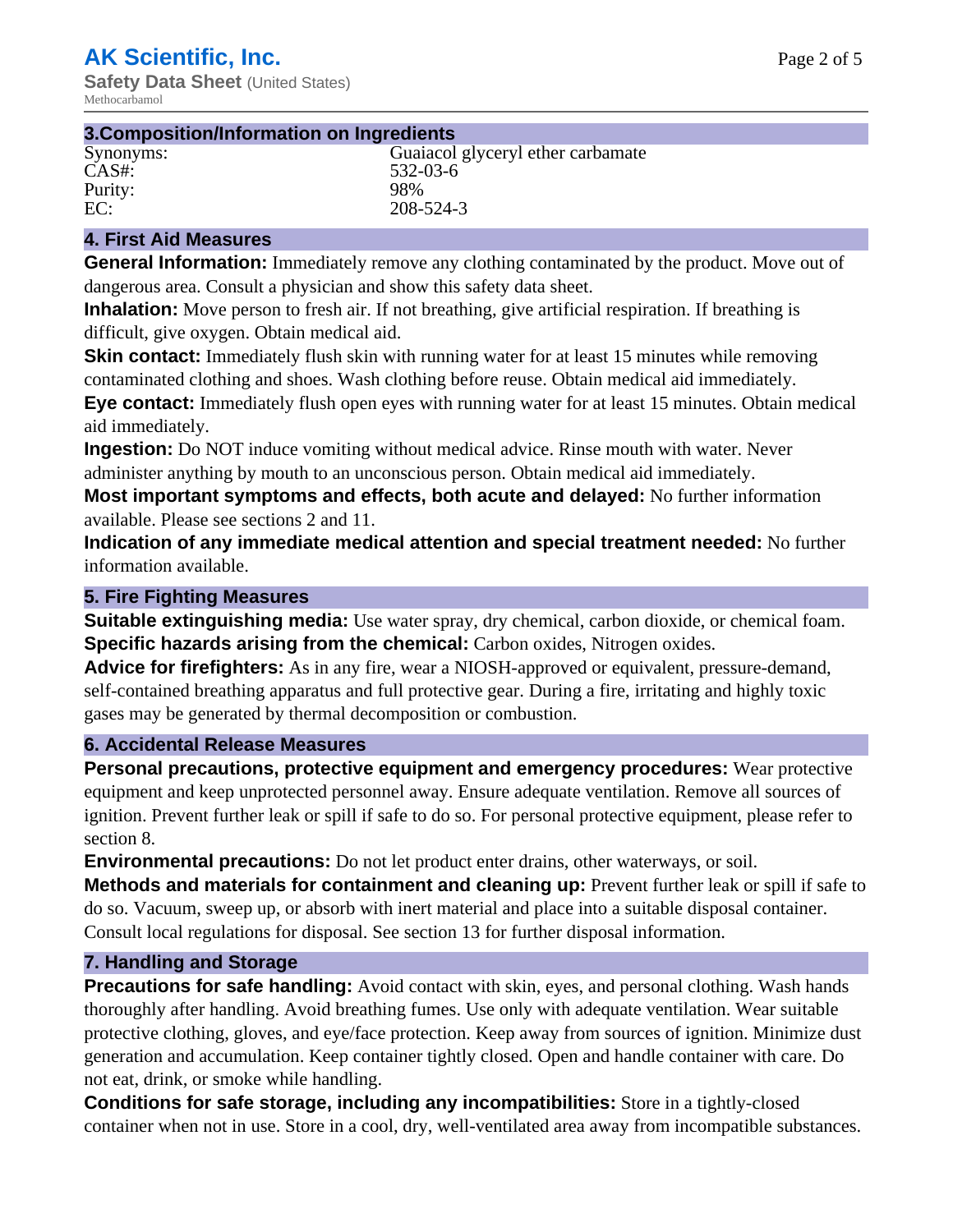#### **3.Composition/Information on Ingredients**

| Synonyms: | Guaiacol glyceryl ether carbamate |
|-----------|-----------------------------------|
| $CAS#$ :  | 532-03-6                          |
| Purity:   | 98%                               |
| EC:       | 208-524-3                         |

#### **4. First Aid Measures**

**General Information:** Immediately remove any clothing contaminated by the product. Move out of dangerous area. Consult a physician and show this safety data sheet.

**Inhalation:** Move person to fresh air. If not breathing, give artificial respiration. If breathing is difficult, give oxygen. Obtain medical aid.

**Skin contact:** Immediately flush skin with running water for at least 15 minutes while removing contaminated clothing and shoes. Wash clothing before reuse. Obtain medical aid immediately. **Eye contact:** Immediately flush open eyes with running water for at least 15 minutes. Obtain medical aid immediately.

**Ingestion:** Do NOT induce vomiting without medical advice. Rinse mouth with water. Never administer anything by mouth to an unconscious person. Obtain medical aid immediately.

**Most important symptoms and effects, both acute and delayed:** No further information available. Please see sections 2 and 11.

**Indication of any immediate medical attention and special treatment needed:** No further information available.

#### **5. Fire Fighting Measures**

**Suitable extinguishing media:** Use water spray, dry chemical, carbon dioxide, or chemical foam. **Specific hazards arising from the chemical:** Carbon oxides, Nitrogen oxides.

**Advice for firefighters:** As in any fire, wear a NIOSH-approved or equivalent, pressure-demand, self-contained breathing apparatus and full protective gear. During a fire, irritating and highly toxic gases may be generated by thermal decomposition or combustion.

#### **6. Accidental Release Measures**

**Personal precautions, protective equipment and emergency procedures:** Wear protective equipment and keep unprotected personnel away. Ensure adequate ventilation. Remove all sources of ignition. Prevent further leak or spill if safe to do so. For personal protective equipment, please refer to section 8.

**Environmental precautions:** Do not let product enter drains, other waterways, or soil.

**Methods and materials for containment and cleaning up:** Prevent further leak or spill if safe to do so. Vacuum, sweep up, or absorb with inert material and place into a suitable disposal container. Consult local regulations for disposal. See section 13 for further disposal information.

#### **7. Handling and Storage**

**Precautions for safe handling:** Avoid contact with skin, eyes, and personal clothing. Wash hands thoroughly after handling. Avoid breathing fumes. Use only with adequate ventilation. Wear suitable protective clothing, gloves, and eye/face protection. Keep away from sources of ignition. Minimize dust generation and accumulation. Keep container tightly closed. Open and handle container with care. Do not eat, drink, or smoke while handling.

**Conditions for safe storage, including any incompatibilities:** Store in a tightly-closed container when not in use. Store in a cool, dry, well-ventilated area away from incompatible substances.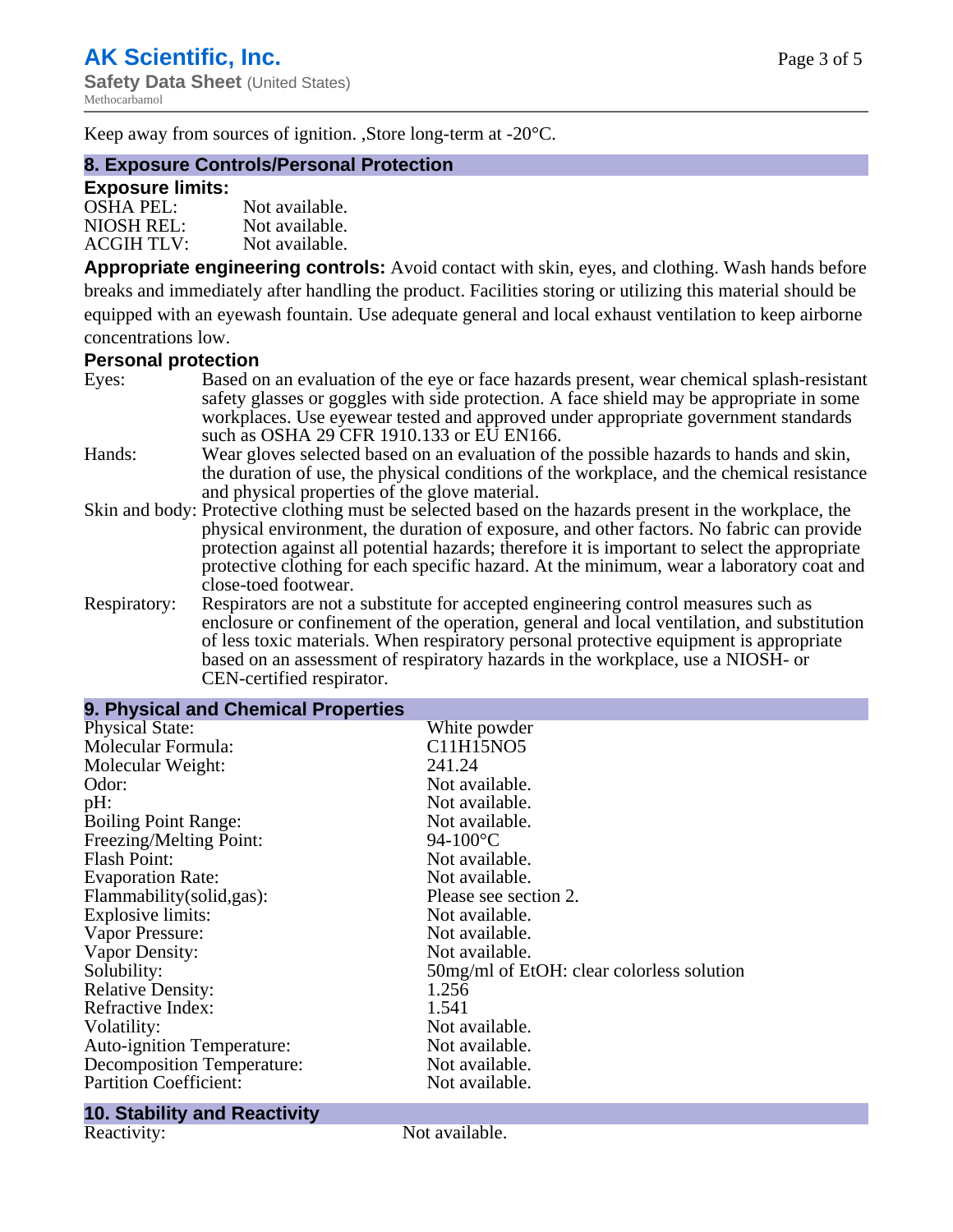Keep away from sources of ignition. ,Store long-term at -20°C.

#### **8. Exposure Controls/Personal Protection**

#### **Exposure limits:**

| <b>OSHA PEL:</b>  | Not available. |
|-------------------|----------------|
| NIOSH REL:        | Not available. |
| <b>ACGIH TLV:</b> | Not available. |

**Appropriate engineering controls:** Avoid contact with skin, eyes, and clothing. Wash hands before breaks and immediately after handling the product. Facilities storing or utilizing this material should be equipped with an eyewash fountain. Use adequate general and local exhaust ventilation to keep airborne concentrations low.

### **Personal protection**

| Eyes:        | Based on an evaluation of the eye or face hazards present, wear chemical splash-resistant<br>safety glasses or goggles with side protection. A face shield may be appropriate in some                                                                                                                                                                         |
|--------------|---------------------------------------------------------------------------------------------------------------------------------------------------------------------------------------------------------------------------------------------------------------------------------------------------------------------------------------------------------------|
|              | workplaces. Use eyewear tested and approved under appropriate government standards<br>such as OSHA 29 CFR 1910.133 or EU EN166.                                                                                                                                                                                                                               |
| Hands:       | Wear gloves selected based on an evaluation of the possible hazards to hands and skin,<br>the duration of use, the physical conditions of the workplace, and the chemical resistance<br>and physical properties of the glove material.                                                                                                                        |
|              | Skin and body: Protective clothing must be selected based on the hazards present in the workplace, the                                                                                                                                                                                                                                                        |
|              | physical environment, the duration of exposure, and other factors. No fabric can provide<br>protection against all potential hazards; therefore it is important to select the appropriate<br>protective clothing for each specific hazard. At the minimum, wear a laboratory coat and<br>close-toed footwear.                                                 |
| Respiratory: | Respirators are not a substitute for accepted engineering control measures such as<br>enclosure or confinement of the operation, general and local ventilation, and substitution<br>of less toxic materials. When respiratory personal protective equipment is appropriate<br>based on an assessment of respiratory hazards in the workplace, use a NIOSH- or |

| 9. Physical and Chemical Properties |                                           |  |  |
|-------------------------------------|-------------------------------------------|--|--|
| <b>Physical State:</b>              | White powder                              |  |  |
| Molecular Formula:                  | C11H15NO5                                 |  |  |
| Molecular Weight:                   | 241.24                                    |  |  |
| Odor:                               | Not available.                            |  |  |
| pH:                                 | Not available.                            |  |  |
| <b>Boiling Point Range:</b>         | Not available.                            |  |  |
| Freezing/Melting Point:             | 94-100 $^{\circ}$ C                       |  |  |
| <b>Flash Point:</b>                 | Not available.                            |  |  |
| <b>Evaporation Rate:</b>            | Not available.                            |  |  |
| Flammability(solid,gas):            | Please see section 2.                     |  |  |
| <b>Explosive limits:</b>            | Not available.                            |  |  |
| Vapor Pressure:                     | Not available.                            |  |  |
| Vapor Density:                      | Not available.                            |  |  |
| Solubility:                         | 50mg/ml of EtOH: clear colorless solution |  |  |
| <b>Relative Density:</b>            | 1.256                                     |  |  |
| Refractive Index:                   | 1.541                                     |  |  |
| Volatility:                         | Not available.                            |  |  |
| <b>Auto-ignition Temperature:</b>   | Not available.                            |  |  |
| <b>Decomposition Temperature:</b>   | Not available.                            |  |  |
| <b>Partition Coefficient:</b>       | Not available.                            |  |  |

# **10. Stability and Reactivity**

Not available.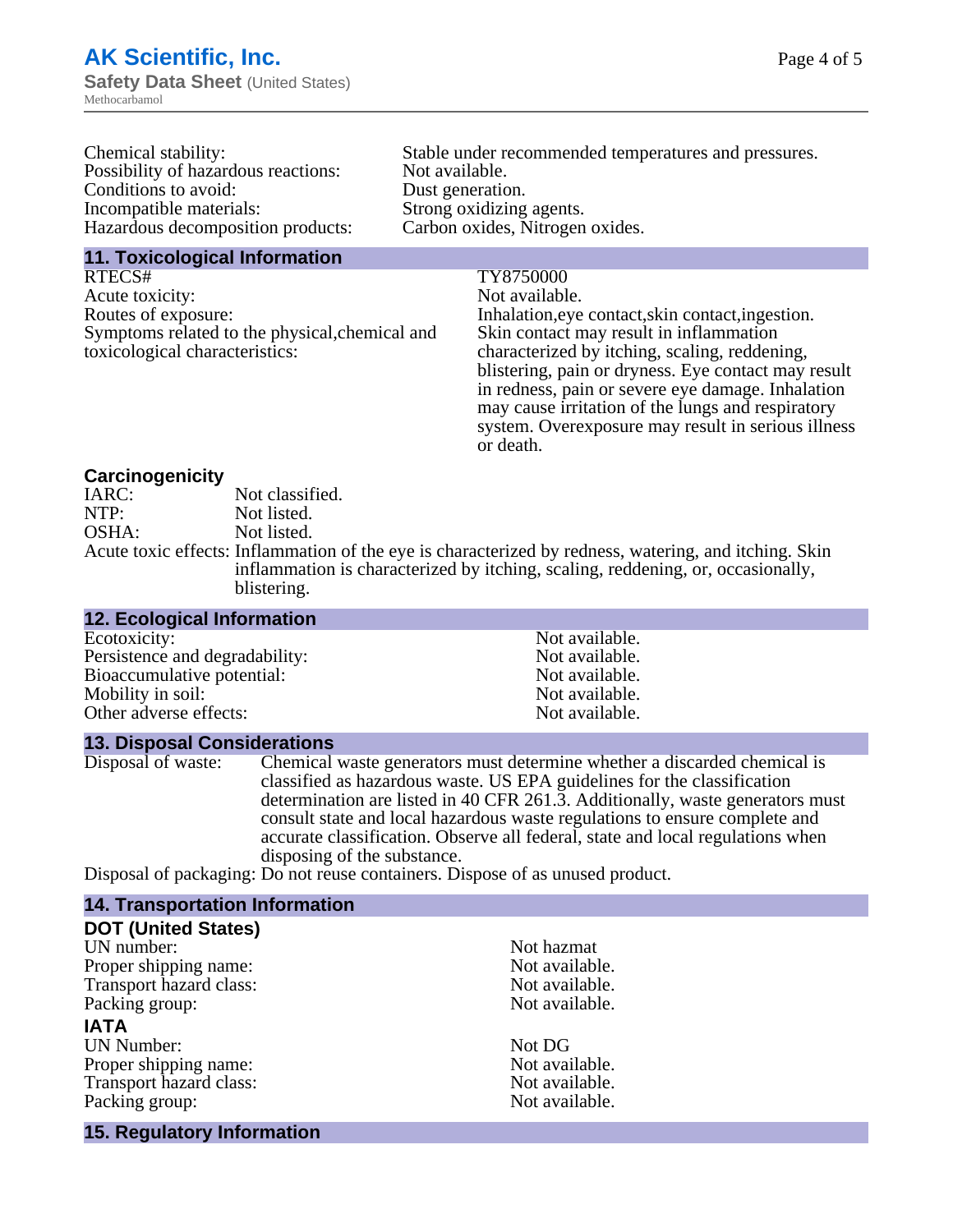| Chemical stability:                 | Stable under recommended temperatures and pressures. |
|-------------------------------------|------------------------------------------------------|
| Possibility of hazardous reactions: | Not available.                                       |
| Conditions to avoid:                | Dust generation.                                     |
| Incompatible materials:             | Strong oxidizing agents.                             |
| Hazardous decomposition products:   | Carbon oxides, Nitrogen oxides.                      |
|                                     |                                                      |

**11. Toxicological Information**

RTECS# TY8750000 Acute toxicity: Not available. Routes of exposure: Inhalation,eye contact,skin contact,ingestion. Symptoms related to the physical,chemical and toxicological characteristics:

Not available. Not available. Not available. Not available. Not available.

Skin contact may result in inflammation characterized by itching, scaling, reddening, blistering, pain or dryness. Eye contact may result in redness, pain or severe eye damage. Inhalation may cause irritation of the lungs and respiratory system. Overexposure may result in serious illness or death.

**Carcinogenicity** IARC: Not classified.<br>
Not listed. NTP:<br>
OSHA: Not listed.<br>
Not listed. Not listed. Acute toxic effects: Inflammation of the eye is characterized by redness, watering, and itching. Skin inflammation is characterized by itching, scaling, reddening, or, occasionally, blistering.

### **12. Ecological Information**

| ECOLOXICITY:                   |
|--------------------------------|
| Persistence and degradability: |
| Bioaccumulative potential:     |
| Mobility in soil:              |
| Other adverse effects:         |

#### **13. Disposal Considerations**

Disposal of waste: Chemical waste generators must determine whether a discarded chemical is classified as hazardous waste. US EPA guidelines for the classification determination are listed in 40 CFR 261.3. Additionally, waste generators must consult state and local hazardous waste regulations to ensure complete and accurate classification. Observe all federal, state and local regulations when disposing of the substance.

Disposal of packaging: Do not reuse containers. Dispose of as unused product.

#### **14. Transportation Information**

| <b>DOT (United States)</b> |                |
|----------------------------|----------------|
| UN number:                 | Not hazmat     |
| Proper shipping name:      | Not available. |
| Transport hazard class:    | Not available. |
| Packing group:             | Not available. |
| <b>IATA</b>                |                |
| <b>UN Number:</b>          | Not DG         |
| Proper shipping name:      | Not available. |
| Transport hazard class:    | Not available. |
| Packing group:             | Not available. |
| 15. Regulatory Information |                |